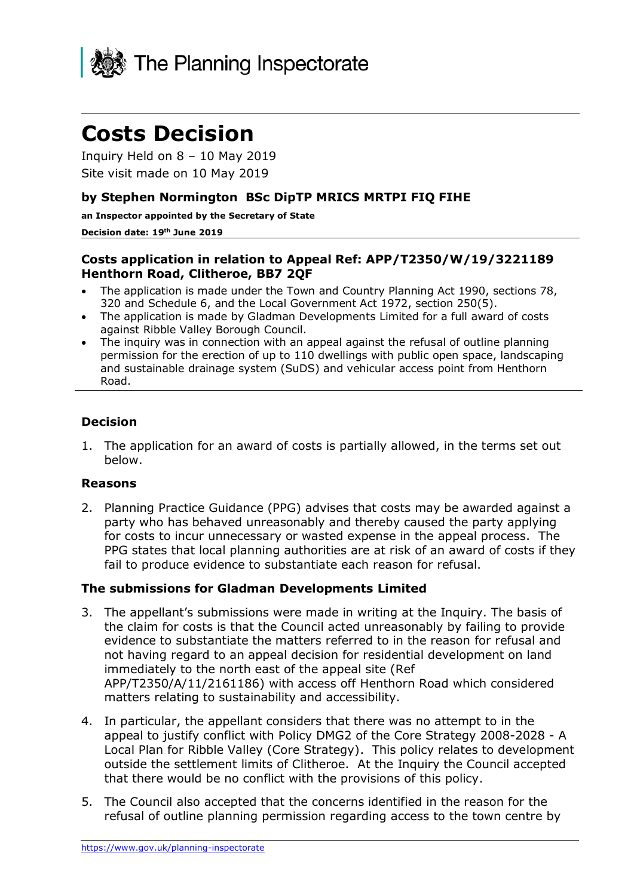

# **Costs Decision**

Inquiry Held on 8 – 10 May 2019 Site visit made on 10 May 2019

#### **by Stephen Normington BSc DipTP MRICS MRTPI FIQ FIHE**

**an Inspector appointed by the Secretary of State** 

#### **Decision date: 19th June 2019**

#### **Costs application in relation to Appeal Ref: APP/T2350/W/19/3221189 Henthorn Road, Clitheroe, BB7 2QF**

- The application is made under the Town and Country Planning Act 1990, sections 78, 320 and Schedule 6, and the Local Government Act 1972, section 250(5).
- The application is made by Gladman Developments Limited for a full award of costs against Ribble Valley Borough Council.
- The inquiry was in connection with an appeal against the refusal of outline planning permission for the erection of up to 110 dwellings with public open space, landscaping and sustainable drainage system (SuDS) and vehicular access point from Henthorn Road.

### **Decision**

1. The application for an award of costs is partially allowed, in the terms set out below.

#### **Reasons**

2. Planning Practice Guidance (PPG) advises that costs may be awarded against a party who has behaved unreasonably and thereby caused the party applying for costs to incur unnecessary or wasted expense in the appeal process. The PPG states that local planning authorities are at risk of an award of costs if they fail to produce evidence to substantiate each reason for refusal.

#### **The submissions for Gladman Developments Limited**

- 3. The appellant's submissions were made in writing at the Inquiry. The basis of the claim for costs is that the Council acted unreasonably by failing to provide evidence to substantiate the matters referred to in the reason for refusal and not having regard to an appeal decision for residential development on land immediately to the north east of the appeal site (Ref APP/T2350/A/11/2161186) with access off Henthorn Road which considered matters relating to sustainability and accessibility.
- 4. In particular, the appellant considers that there was no attempt to in the appeal to justify conflict with Policy DMG2 of the Core Strategy 2008-2028 - A Local Plan for Ribble Valley (Core Strategy). This policy relates to development outside the settlement limits of Clitheroe. At the Inquiry the Council accepted that there would be no conflict with the provisions of this policy.
- 5. The Council also accepted that the concerns identified in the reason for the refusal of outline planning permission regarding access to the town centre by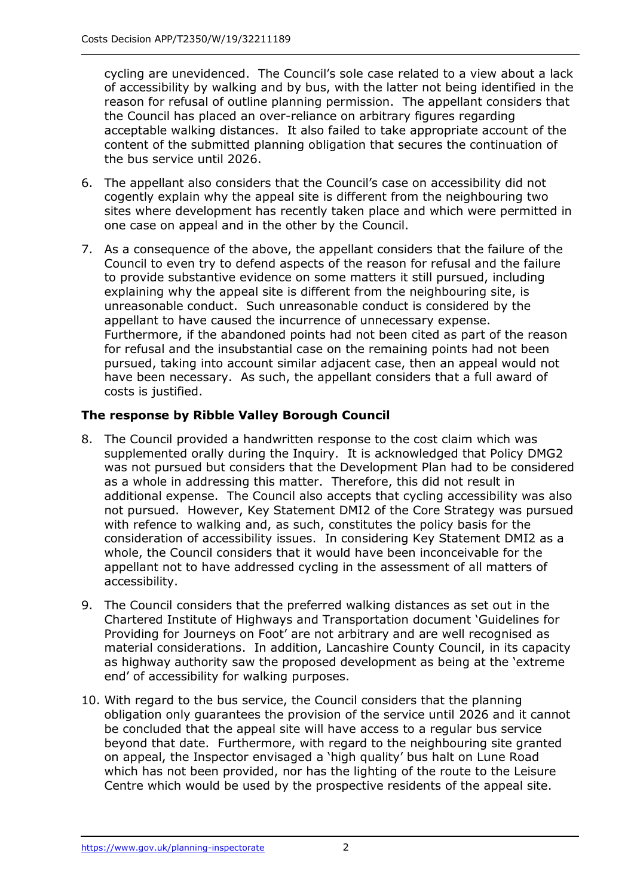cycling are unevidenced. The Council's sole case related to a view about a lack of accessibility by walking and by bus, with the latter not being identified in the reason for refusal of outline planning permission. The appellant considers that the Council has placed an over-reliance on arbitrary figures regarding acceptable walking distances. It also failed to take appropriate account of the content of the submitted planning obligation that secures the continuation of the bus service until 2026.

- 6. The appellant also considers that the Council's case on accessibility did not cogently explain why the appeal site is different from the neighbouring two sites where development has recently taken place and which were permitted in one case on appeal and in the other by the Council.
- 7. As a consequence of the above, the appellant considers that the failure of the Council to even try to defend aspects of the reason for refusal and the failure to provide substantive evidence on some matters it still pursued, including explaining why the appeal site is different from the neighbouring site, is unreasonable conduct. Such unreasonable conduct is considered by the appellant to have caused the incurrence of unnecessary expense. Furthermore, if the abandoned points had not been cited as part of the reason for refusal and the insubstantial case on the remaining points had not been pursued, taking into account similar adjacent case, then an appeal would not have been necessary. As such, the appellant considers that a full award of costs is justified.

## **The response by Ribble Valley Borough Council**

- 8. The Council provided a handwritten response to the cost claim which was supplemented orally during the Inquiry. It is acknowledged that Policy DMG2 was not pursued but considers that the Development Plan had to be considered as a whole in addressing this matter. Therefore, this did not result in additional expense. The Council also accepts that cycling accessibility was also not pursued. However, Key Statement DMI2 of the Core Strategy was pursued with refence to walking and, as such, constitutes the policy basis for the consideration of accessibility issues. In considering Key Statement DMI2 as a whole, the Council considers that it would have been inconceivable for the appellant not to have addressed cycling in the assessment of all matters of accessibility.
- 9. The Council considers that the preferred walking distances as set out in the Chartered Institute of Highways and Transportation document 'Guidelines for Providing for Journeys on Foot' are not arbitrary and are well recognised as material considerations. In addition, Lancashire County Council, in its capacity as highway authority saw the proposed development as being at the 'extreme end' of accessibility for walking purposes.
- 10. With regard to the bus service, the Council considers that the planning obligation only guarantees the provision of the service until 2026 and it cannot be concluded that the appeal site will have access to a regular bus service beyond that date. Furthermore, with regard to the neighbouring site granted on appeal, the Inspector envisaged a 'high quality' bus halt on Lune Road which has not been provided, nor has the lighting of the route to the Leisure Centre which would be used by the prospective residents of the appeal site.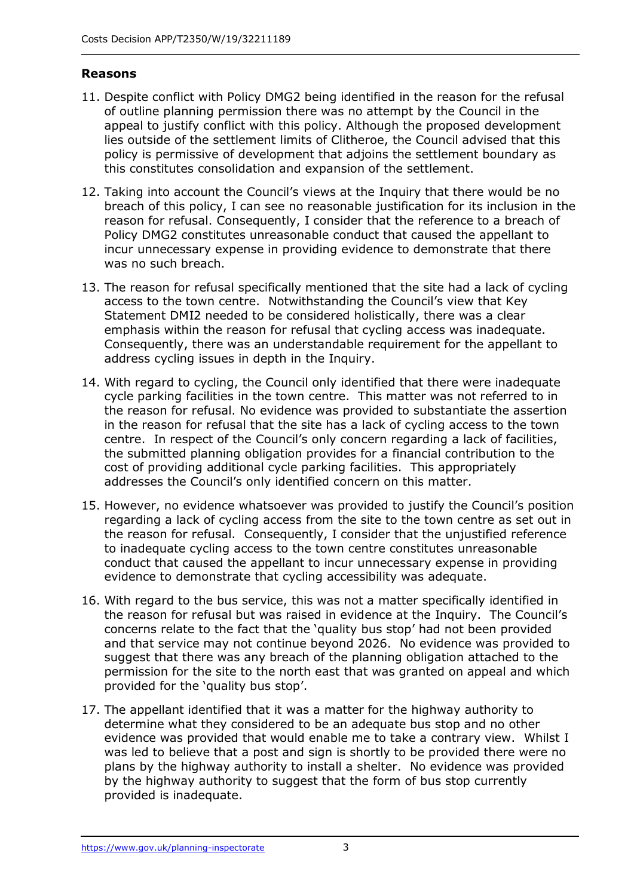## **Reasons**

- 11. Despite conflict with Policy DMG2 being identified in the reason for the refusal of outline planning permission there was no attempt by the Council in the appeal to justify conflict with this policy. Although the proposed development lies outside of the settlement limits of Clitheroe, the Council advised that this policy is permissive of development that adjoins the settlement boundary as this constitutes consolidation and expansion of the settlement.
- 12. Taking into account the Council's views at the Inquiry that there would be no breach of this policy, I can see no reasonable justification for its inclusion in the reason for refusal. Consequently, I consider that the reference to a breach of Policy DMG2 constitutes unreasonable conduct that caused the appellant to incur unnecessary expense in providing evidence to demonstrate that there was no such breach.
- 13. The reason for refusal specifically mentioned that the site had a lack of cycling access to the town centre. Notwithstanding the Council's view that Key Statement DMI2 needed to be considered holistically, there was a clear emphasis within the reason for refusal that cycling access was inadequate. Consequently, there was an understandable requirement for the appellant to address cycling issues in depth in the Inquiry.
- 14. With regard to cycling, the Council only identified that there were inadequate cycle parking facilities in the town centre. This matter was not referred to in the reason for refusal. No evidence was provided to substantiate the assertion in the reason for refusal that the site has a lack of cycling access to the town centre. In respect of the Council's only concern regarding a lack of facilities, the submitted planning obligation provides for a financial contribution to the cost of providing additional cycle parking facilities. This appropriately addresses the Council's only identified concern on this matter.
- 15. However, no evidence whatsoever was provided to justify the Council's position regarding a lack of cycling access from the site to the town centre as set out in the reason for refusal. Consequently, I consider that the unjustified reference to inadequate cycling access to the town centre constitutes unreasonable conduct that caused the appellant to incur unnecessary expense in providing evidence to demonstrate that cycling accessibility was adequate.
- 16. With regard to the bus service, this was not a matter specifically identified in the reason for refusal but was raised in evidence at the Inquiry. The Council's concerns relate to the fact that the 'quality bus stop' had not been provided and that service may not continue beyond 2026. No evidence was provided to suggest that there was any breach of the planning obligation attached to the permission for the site to the north east that was granted on appeal and which provided for the 'quality bus stop'.
- 17. The appellant identified that it was a matter for the highway authority to determine what they considered to be an adequate bus stop and no other evidence was provided that would enable me to take a contrary view. Whilst I was led to believe that a post and sign is shortly to be provided there were no plans by the highway authority to install a shelter. No evidence was provided by the highway authority to suggest that the form of bus stop currently provided is inadequate.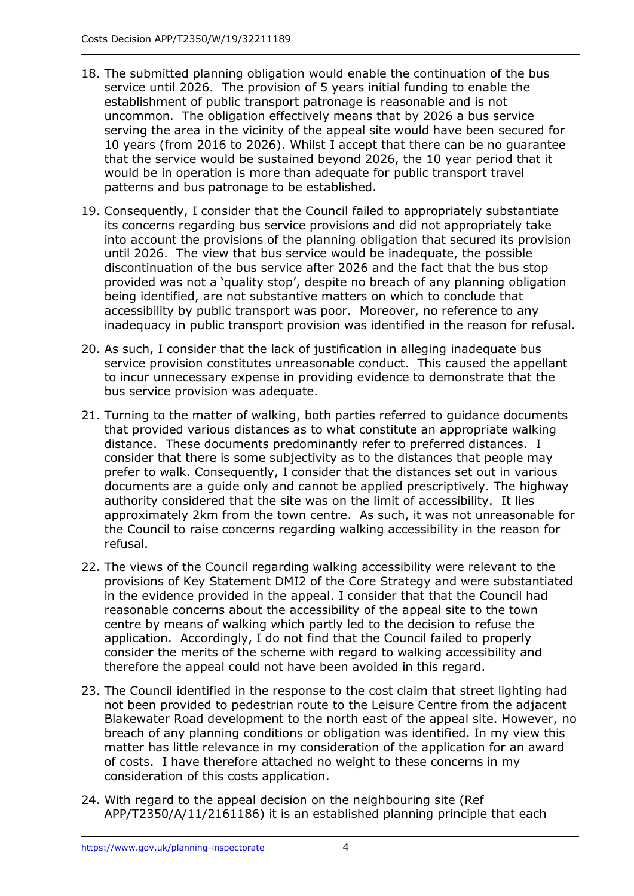- 18. The submitted planning obligation would enable the continuation of the bus service until 2026. The provision of 5 years initial funding to enable the establishment of public transport patronage is reasonable and is not uncommon. The obligation effectively means that by 2026 a bus service serving the area in the vicinity of the appeal site would have been secured for 10 years (from 2016 to 2026). Whilst I accept that there can be no guarantee that the service would be sustained beyond 2026, the 10 year period that it would be in operation is more than adequate for public transport travel patterns and bus patronage to be established.
- 19. Consequently, I consider that the Council failed to appropriately substantiate its concerns regarding bus service provisions and did not appropriately take into account the provisions of the planning obligation that secured its provision until 2026. The view that bus service would be inadequate, the possible discontinuation of the bus service after 2026 and the fact that the bus stop provided was not a 'quality stop', despite no breach of any planning obligation being identified, are not substantive matters on which to conclude that accessibility by public transport was poor. Moreover, no reference to any inadequacy in public transport provision was identified in the reason for refusal.
- 20. As such, I consider that the lack of justification in alleging inadequate bus service provision constitutes unreasonable conduct. This caused the appellant to incur unnecessary expense in providing evidence to demonstrate that the bus service provision was adequate.
- 21. Turning to the matter of walking, both parties referred to guidance documents that provided various distances as to what constitute an appropriate walking distance. These documents predominantly refer to preferred distances. I consider that there is some subjectivity as to the distances that people may prefer to walk. Consequently, I consider that the distances set out in various documents are a guide only and cannot be applied prescriptively. The highway authority considered that the site was on the limit of accessibility. It lies approximately 2km from the town centre. As such, it was not unreasonable for the Council to raise concerns regarding walking accessibility in the reason for refusal.
- 22. The views of the Council regarding walking accessibility were relevant to the provisions of Key Statement DMI2 of the Core Strategy and were substantiated in the evidence provided in the appeal. I consider that that the Council had reasonable concerns about the accessibility of the appeal site to the town centre by means of walking which partly led to the decision to refuse the application. Accordingly, I do not find that the Council failed to properly consider the merits of the scheme with regard to walking accessibility and therefore the appeal could not have been avoided in this regard.
- 23. The Council identified in the response to the cost claim that street lighting had not been provided to pedestrian route to the Leisure Centre from the adjacent Blakewater Road development to the north east of the appeal site. However, no breach of any planning conditions or obligation was identified. In my view this matter has little relevance in my consideration of the application for an award of costs. I have therefore attached no weight to these concerns in my consideration of this costs application.
- 24. With regard to the appeal decision on the neighbouring site (Ref APP/T2350/A/11/2161186) it is an established planning principle that each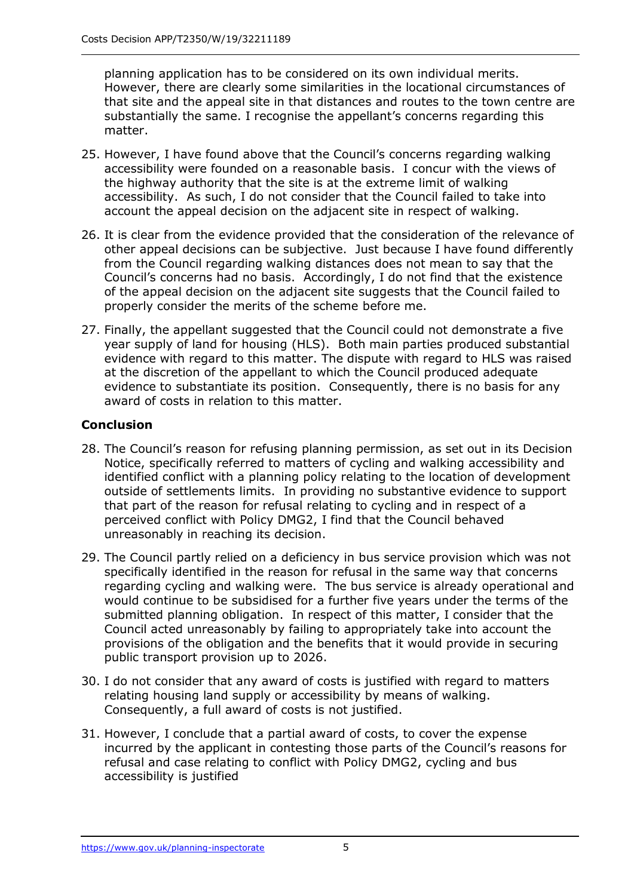planning application has to be considered on its own individual merits. However, there are clearly some similarities in the locational circumstances of that site and the appeal site in that distances and routes to the town centre are substantially the same. I recognise the appellant's concerns regarding this matter.

- 25. However, I have found above that the Council's concerns regarding walking accessibility were founded on a reasonable basis. I concur with the views of the highway authority that the site is at the extreme limit of walking accessibility. As such, I do not consider that the Council failed to take into account the appeal decision on the adjacent site in respect of walking.
- 26. It is clear from the evidence provided that the consideration of the relevance of other appeal decisions can be subjective. Just because I have found differently from the Council regarding walking distances does not mean to say that the Council's concerns had no basis. Accordingly, I do not find that the existence of the appeal decision on the adjacent site suggests that the Council failed to properly consider the merits of the scheme before me.
- 27. Finally, the appellant suggested that the Council could not demonstrate a five year supply of land for housing (HLS). Both main parties produced substantial evidence with regard to this matter. The dispute with regard to HLS was raised at the discretion of the appellant to which the Council produced adequate evidence to substantiate its position. Consequently, there is no basis for any award of costs in relation to this matter.

## **Conclusion**

- 28. The Council's reason for refusing planning permission, as set out in its Decision Notice, specifically referred to matters of cycling and walking accessibility and identified conflict with a planning policy relating to the location of development outside of settlements limits. In providing no substantive evidence to support that part of the reason for refusal relating to cycling and in respect of a perceived conflict with Policy DMG2, I find that the Council behaved unreasonably in reaching its decision.
- 29. The Council partly relied on a deficiency in bus service provision which was not specifically identified in the reason for refusal in the same way that concerns regarding cycling and walking were. The bus service is already operational and would continue to be subsidised for a further five years under the terms of the submitted planning obligation. In respect of this matter, I consider that the Council acted unreasonably by failing to appropriately take into account the provisions of the obligation and the benefits that it would provide in securing public transport provision up to 2026.
- 30. I do not consider that any award of costs is justified with regard to matters relating housing land supply or accessibility by means of walking. Consequently, a full award of costs is not justified.
- 31. However, I conclude that a partial award of costs, to cover the expense incurred by the applicant in contesting those parts of the Council's reasons for refusal and case relating to conflict with Policy DMG2, cycling and bus accessibility is justified